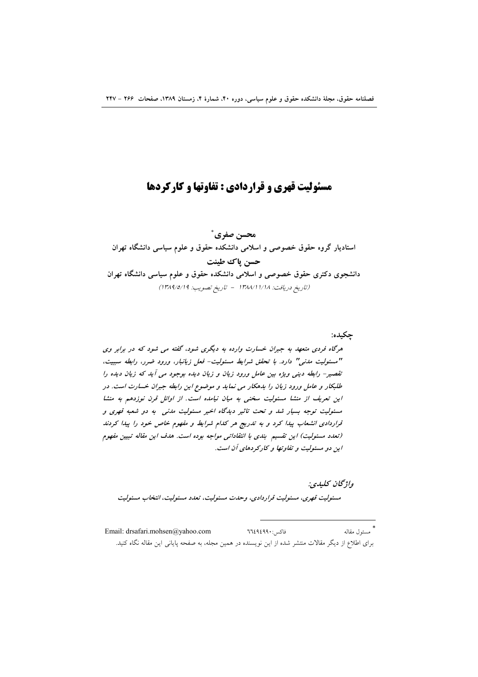# مسئولیت قهری و قراردادی : تفاوتها و کارکردها

محسن صفري \* استادیار گروه حقوق خصوصی و اسلامی دانشکده حقوق و علوم سیاسی دانشگاه تهران حسن ياك طينت دانشجوی دکتری حقوق خصوصی و اسلامی دانشکده حقوق و علوم سیاسی دانشگاه تهران (تاريخ دريافت: ١٣٨٨/١/١/٨ - تاريخ تصويب: ١٣٨٩/٥/١٩)

جكيده:

هرگاه فردی متعهد به جبران خسارت وارده به دیگری شود، گفته می شود که در برابر وی "مسئولیت مدنی" دارد. با تحقق شرایط مسئولیت- فعل زیانبار، ورود ضرر، رابطه سببیت، تقصیر- رابطه دینی ویژه بین عامل ورود زیان و زیان دیده بوجود می آید که زیان دیده را طلبکار و عامل ورود زیان را بدهکار می نماید و موضوع این رابطه جبران خسارت است. در این تعریف از منشا مسئولیت سخنی به میان نیامده است. از اوائل قرن نوزدهم به منشا مسئولیت توجه بسیار شد و تحت تاثیر دیدگاه اخیر مسئولیت مدنی به دو شعبه قهری و قراردادی انشعاب پیدا کرد و به تدریج هر کدام شرایط و مفهوم خاص خود را پیدا کردند (تعدد مسئولیت) این تقسیم بندی با انتقاداتی مواجه بوده است. هدف این مقاله تبیین مفهوم این دو مسئولیت و تفاوتها و کارکردهای آن است.

واژگان كليدي: مسئوليت قهري، مسئوليت قراردادي، وحدت مسئوليت، تعدد مسئوليت، انتخاب مسئوليت

\*<br>مسئول مقاله Email: drsafari.mohsen@yahoo.com فاكس: ٦٦٤٩٤٩٩٠ برای اطلاع از دیگر مقالات منتشر شده از این نویسنده در همین مجله، به صفحه پایانی این مقاله نگاه کنید.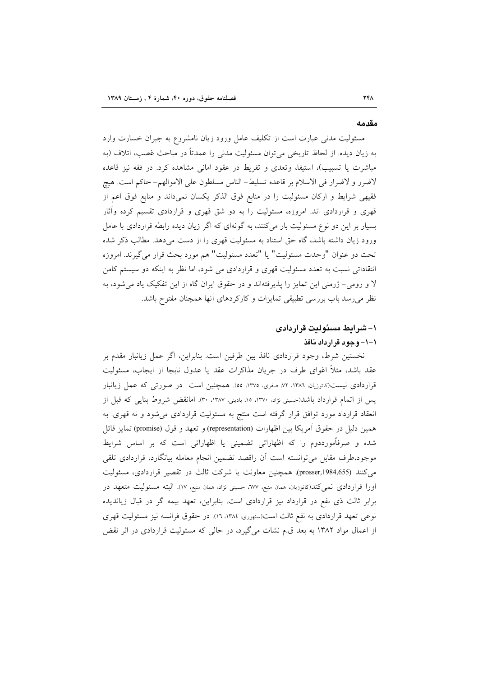#### مقدمه

مسئولیت مدنی عبارت است از تکلیف عامل ورود زیان نامشروع به جبران خسارت وارد به زیان دیده. از لحاظ تاریخی میتوان مسئولیت مدنی را عمدتاً در مباحث غصب، اتلاف (به مباشرت یا تسبیب)، استیفا، وتعدی و تفریط در عقود امانی مشاهده کرد. در فقه نیز قاعده لاضرر و لاضرار في الاسلام بر قاعده تسليط- الناس مسلطون على الاموالهم- حاكم است. هيچ فقیهی شرایط و ارکان مسئولیت را در منابع فوق الذکر یکسان نمیداند و منابع فوق اعم از قهری و قراردادی اند. امروزه، مسئولیت را به دو شق قهری و قراردادی تقسیم کرده وأثار بسیار بر این دو نوع مسئولیت بار می کنند، به گونهای که اگر زیان دیده رابطه قراردادی با عامل ورود زیان داشته باشد، گاه حق استناد به مسئولیت قهری را از دست میدهد. مطالب ذکر شده تحت دو عنوان "وحدت مسئوليت" يا "تعدد مسئوليت" هم مورد بحث قرار مي گيرند. امروزه انتقاداتی نسبت به تعدد مسئولیت قهری و قراردادی می شود، اما نظر به اینکه دو سیستم کامن لا و رومی- ژرمنی این تمایز را پذیرفتهاند و در حقوق ایران گاه از این تفکیک یاد میشود، به نظر می رسد باب بررسی تطبیقی تمایزات و کارکردهای آنها همچنان مفتوح باشد.

## ١- شرايط مسئوليت قراردادى ١-١- وجود قرارداد نافذ

نخستین شرط، وجود قراردادی نافذ بین طرفین است. بنابراین، اگر عمل زیانبار مقدم بر عقد باشد، مثلاً اغوای طرف در جریان مذاکرات عقد یا عدول نابجا از ایجاب، مسئولیت قراردادی نیست(کاتوزیان، ۱۳۸۶، ۷۲، صفری، ۱۳۷۵، ۵۵). همچنین است ً در صورتی که عمل زیانبار یس از اتمام قرارداد باشد(حسینی نژاد، ۱۳۷۰، ۱۵، بادینی، ۱۳۸۷، ۳۰). امانقض شروط بنایی که قبل از انعقاد قرارداد مورد توافق قرار گرفته است منتج به مسئولیت قراردادی میشود و نه قهری. به همین دلیل در حقوق آمریکا بین اظهارات (representation) و تعهد و قول (promise) تمایز قائل شده و صرفاًمورددوم را که اظهاراتی تضمینی یا اظهاراتی است که بر اساس شرایط موجود،طرف مقابل میتوانسته است آن راقصد تضمین انجام معامله بیانگارد، قراردادی تلقی می کنند (prosser,1984,655). همچنین معاونت یا شرکت ثالث در تقصیر قراردادی، مسئولیت اورا قراردادی نمیکند(کاتوزیان، همان منبع، ٦٧٧، حسینی نژاد، همان منبع، ١٧). البته مسئولیت متعهد در برابر ثالث ذي نفع در قرارداد نيز قراردادي است. بنابراين، تعهد بيمه گر در قبال زيانديده نوعی تعهد قراردادی به نفع ثالث است(سنهوری، ۱۳۸٤، ۱٦). در حقوق فرانسه نیز مسئولیت قهری از اعمال مواد ۱۳۸۲ به بعد ق.م نشات میگیرد، در حالی که مسئولیت قراردادی در اثر نقض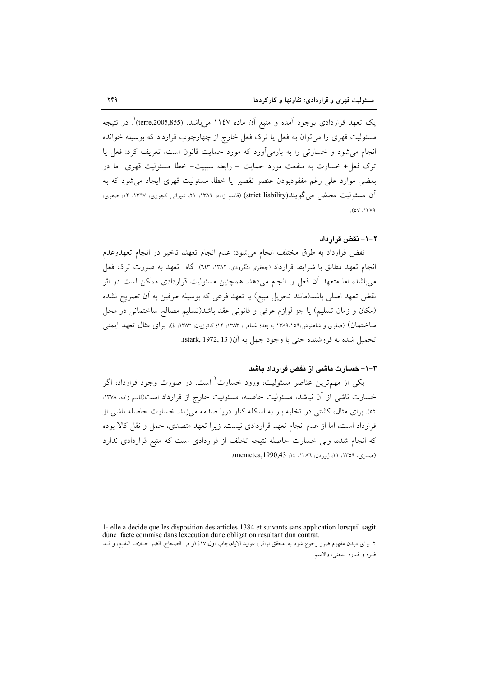یک تعهد قراردادی بوجود اَمده و منبع اَن ماده ۱۱٤۷ میباشد. (terre,2005,855) ٌ. در نتیجه مسئولیت قهری را می توان به فعل یا ترک فعل خارج از چهارچوب قرارداد که بوسیله خوانده انجام می شود و خسارتی را به بارمی آورد که مورد حمایت قانون است، تعریف کرد: فعل یا ترک فعل+ خسارت به منفعت مورد حمایت + رابطه سببیت+ خطا=مسئولیت قهری. اما در بعضی موارد علی رغم مفقودبودن عنصر تقصیر یا خطا، مسئولیت قهری ایجاد می شود که به آن مسئولیت محض می گویند(strict liability) (قاسم زاده، ۱۳۸۲، ۲۱، شیوائی کجوری، ۱۳٦۷، ۱۲، صفری،  $(0V,17V9)$ 

### ٢-١- نقض قرار داد

نقض قرارداد به طرق مختلف انجام میشود: عدم انجام تعهد، تاخیر در انجام تعهدوعدم انجام تعهد مطابق با شرايط قرارداد (جعفرى لنكرودى، ١٣٨٢، ٦٤٣. كاه تعهد به صورت ترك فعل می باشد، اما متعهد آن فعل را انجام میدهد. همچنین مسئولیت قراردادی ممکن است در اثر نقض تعهد اصلی باشد(مانند تحویل مبیع) یا تعهد فرعی که بوسیله طرفین به آن تصریح نشده (مکان و زمان تسلیم) یا جز لوازم عرفی و قانونی عقد باشد(تسلیم مصالح ساختمانی در محل ساختمان) (صفری و شاهنوش،١٣٨٩،١٥٩ به بعد؛ غمامی، ١٣٨٣، ١٢، کاتوزیان، ١٣٨٣، ٤). برای مثال تعهد ایمنی تحميل شده به فروشنده حتى با وجود جهل به آن( 13, stark, 1972).

### ۳–۱– خسارت ناشبی از نقض قرارداد باشد

یکی از مهمترین عناصر مسئولیت، ورود خسارت<sup>٬ ا</sup>ست. در صورت وجود قرارداد، اگر خسارت ناشی از آن نباشد، مسئولیت حاصله، مسئولیت خارج از قرارداد است(قاسم زاده، ۱۳۷۸، ٥٢). برای مثال، کشتی در تخلیه بار به اسکله کنار دریا صدمه میزند. خسارت حاصله ناشی از قرارداد است، اما از عدم انجام تعهد قراردادی نیست. زیرا تعهد متصدی، حمل و نقل کالا بوده که انجام شده، ولی خسارت حاصله نتیجه تخلف از قراردادی است که منبع قراردادی ندارد (صدری، ١٣٥٩، ١١، ژوردن، ١٣٨٦، ١٤، memetea,1990,43).

1- elle a decide que les disposition des articles 1384 et suivants sans application lorsquil sagit dune facte commise dans lexecution dune obligation resultant dun contrat. ٢. براى ديدن مفهوم ضرر رجوع شود به: محقق نراقى، عوايد الايام،چاپ اول،١٤١٧و فى الصحاح: الضر خــلاف النفـع، و قــد ضره و ضاره. بمعنى، والاسم.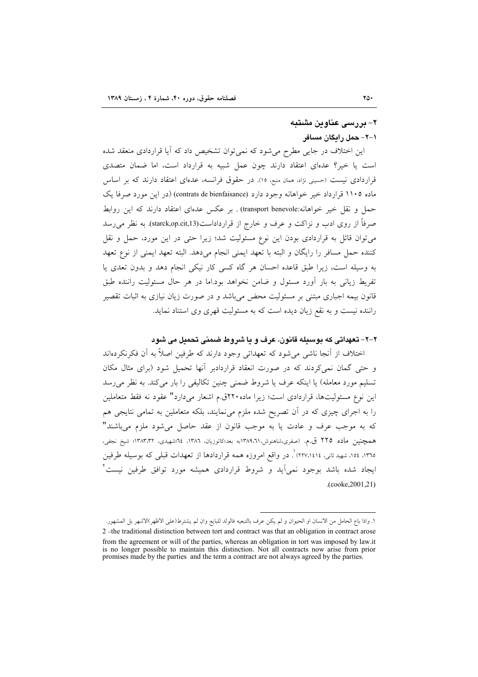## ۲– بررسی عناوین مشتبه ۱–۲– حمل رایگان مسافر

این اختلاف در جایی مطرح میشود که نمیتوان تشخیص داد که آیا قراردادی منعقد شده است یا خیر؟ عدمای اعتقاد دارند چون عمل شبیه به قرارداد است، اما ضمان متصدی قراردادی نیست (حسینی نژاد، همان منبع، ١٥). در حقوق فرانسه، عدمای اعتقاد دارند که بر اساس ماده ۱۱۰۵ قرارداد خير خواهانه وجود دارد (contrats de bienfaisance) (در اين مورد صرفا يک حمل و نقل خیر خواهانه:transport benevole) . بر عکس عدمای اعتقاد دارند که این روابط صرفاً از روی ادب و نزاکت و عرف و خارج از قرارداداست(starck,op.cit,13). به نظر می رسد میتوان قائل به قراردادی بودن این نوع مسئولیت شد؛ زیرا حتی در این مورد، حمل و نقل كننده حمل مسافر را رايگان و البته با تعهد ايمني انجام مي دهد. البته تعهد ايمني از نوع تعهد به وسیله است، زیرا طبق قاعده احسان هر گاه کسی کار نیکی انجام دهد و بدون تعدی یا تفریط زیانی به بار آورد مسئول و ضامن نخواهد بود.اما در هر حال مسئولیت راننده طبق قانون بیمه اجباری مبتنی بر مسئولیت محض می باشد و در صورت زیان نیازی به اثبات تقصیر راننده نیست و به نقع زیان دیده است که به مسئولیت قهری وی استناد نماید.

## ٢-٢- تعهداتي كه يوسيله قانون، عرف و يا شروط ضيمني تحميل مي شود

اختلاف از آنجا ناشی می شود که تعهداتی وجود دارند که طرفین اصلاً به آن فکرنکردهاند و حتی گمان نمی کردند که در صورت انعقاد قراردادبر آنها تحمیل شود (برای مثال مکان تسلیم مورد معامله) یا اینکه عرف یا شروط ضمنی چنین تکالیفی را بار میکند. به نظر می رسد این نوع مسئولیتها، قراردادی است؛ زیرا ماده ۲۲۰ق.م اشعار میدارد" عقود نه فقط متعاملین را به اجرای چیزی که در آن تصریح شده ملزم می نمایند، بلکه متعاملین به تمامی نتایجی هم که به موجب عرف و عادت یا به موجب قانون از عقد حاصل می شود ملزم می باشند" همچنین ماده ۲۲۵ ق.م. (صفری،شاهنوش،۳۸۹،۲۱۱به بعد؛کاتوزیان، ۱۳۸٦، ۲۶شهیدی، ۱۳۸۳،۳۲؛ شیخ نجفی، ۱۳۱۰، ۱۰۵، شهید ثانی، ۲۲۷،۱٤۱٤) . در واقع امروزه همه قراردادها از تعهدات قبلی که بوسیله طرفین ایجاد شده باشد بوجود نمی]ید و شروط قراردادی همیشه مورد توافق طرفین نیست ٔ  $(cooke, 2001, 21)$ 

١. واذا باع الحامل من الانسان او الحيوان و لم يكن عرف بالتبعيه فالولد للبايع وان لم يشترط(على الاظهر)الاشهر بل المشهور.

<sup>2-</sup>the traditional distinction between tort and contract was that an obligation in contract arose from the agreement or will of the parties, whereas an obligation in tort was imposed by law.it is no longer possible to maintain this distinction. Not all contracts now arise from prior promises made by the parties and the term a contract are not always agreed by the parties.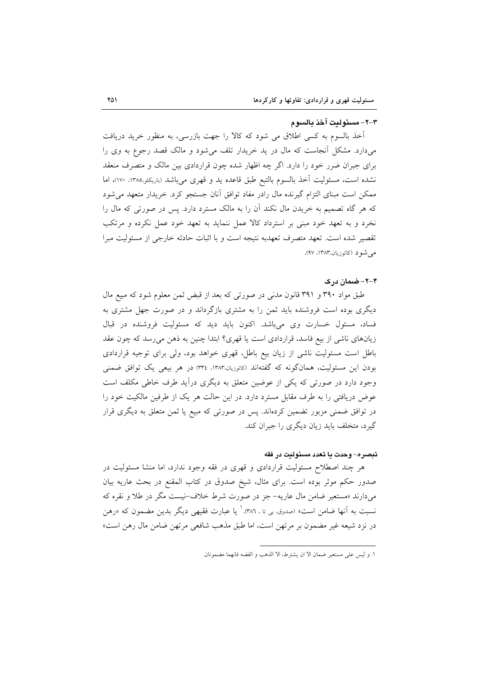#### ٣-٢- مسئولت آخذ بالسوم

آخذ بالسوم به کسی اطلاق می شود که کالا را جهت بازرسی، به منظور خرید دریافت میدارد. مشکل آنجاست که مال در ید خریدار تلف میشود و مالک قصد رجوع به وی را برای جبران ضرر خود را دارد. اگر چه اظهار شده چون قراردادی بین مالک و متصرف منعقد نشده است، مسئوليت أخذ بالسوم بالتبع طبق قاعده يد و قهري مي باشد (باريكلو،١٣٨٥، ١٧٠)، اما ممکن است مبنای التزام گیرنده مال رادر مفاد توافق آنان جستجو کرد. خریدار متعهد می شود که هر گاه تصمیم به خریدن مال نکند آن را به مالک مسترد دارد. پس در صورتی که مال را نخرد و به تعهد خود مبنی بر استرداد کالا عمل ننماید به تعهد خود عمل نکرده و مرتکب تقصير شده است. تعهد متصرف تعهدبه نتيجه است و با اثبات حادثه خارجي از مسئوليت مبرا مے شدد (کاتوزیان،۱۳۸۳، ۹۷).

#### ۴–۲– ضمان در ک

طبق مواد ۳۹۰ و ۳۹۱ قانون مدنی در صورتی که بعد از قبض ثمن معلوم شود که مبیع مال دیگری بوده است فروشنده باید ثمن را به مشتری بازگرداند و در صورت جهل مشتری به فساد، مسئول خسارت وی میباشد. اکنون باید دید که مسئولیت فروشنده در قبال زیانهای ناشی از بیع فاسد، قراردادی است یا قهری؟ ابتدا چنین به ذهن می رسد که چون عقد باطل است مسئولیت ناشی از زیان بیع باطل، قهری خواهد بود، ولی برای توجیه قراردادی بودن این مسئولیت، همانگونه که گفتهاند (کاتوزیان،۱۳۸۳، ۳۳٤) در هر بیعی یک توافق ضمنی وجود دارد در صورتی که یکی از عوضین متعلق به دیگری درآید طرف خاطی مکلف است عوض دریافتی را به طرف مقابل مسترد دارد. در این حالت هر یک از طرفین مالکیت خود را در توافق ضمنی مزبور تضمین کردهاند. پس در صورتی که مبیع یا ثمن متعلق به دیگری قرار گیرد، متخلف باید زیان دیگری را جبران کند.

### تبصره- وحدت يا تعدد مسئوليت در فقه

هر چند اصطلاح مسئولیت قراردادی و قهری در فقه وجود ندارد، اما منشا مسئولیت در صدور حکم موثر بوده است. برای مثال، شیخ صدوق در کتاب المقنع در بحث عاریه بیان میدارند «مستعیر ضامن مال عاریه- جز در صورت شرط خلاف-نیست مگر در طلا و نقره که نسبت به آنها ضامن است» (صدوق بی تا ، ٣٨٦). یا عبارت فقیهی دیگر بدین مضمون که «رهن در نزد شیعه غیر مضمون بر مرتهن است، اما طبق مذهب شافعی مرتهن ضامن مال رهن است»

١. و ليس على مستعير ضمان الا ان يشترط، الا الذهب و الفضه فانهما مضمونان.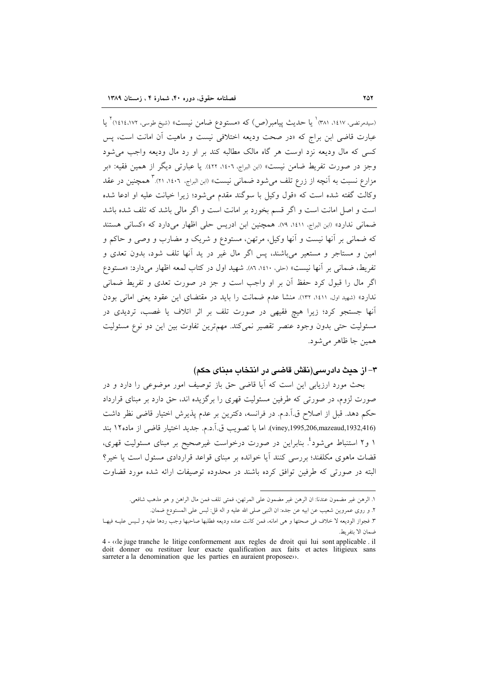(سیدمرتضی، ۱٤١٧، ۱۳۸۱<sup>) ۱</sup> یا حدیث پیامبر(ص) که «مستودع ضامن نیست» (شیخ طوسی، ۱٤١٤،۱۷۲) <sup>۲</sup> یا عبارت قاضی ابن براج که «در صحت ودیعه اختلافی نیست و ماهیت آن امانت است، پس کسی که مال ودیعه نزد اوست هر گاه مالک مطالبه کند بر او رد مال ودیعه واجب می شود وجز در صورت تفريط ضامن نيست» (ابن البراج، ١٤٠٦، ٤٢٢). يا عبارتي ديگر از همين فقيه: «بر مزارع نسبت به آنچه از زرع تلف میشود ضمانی نیست» (ابن البراج، ۱٤٠٦، ۲۱). ۳ همچنین در عقد وكالت گفته شده است كه «قول وكيل با سوگند مقدم مى شود؛ زيرا خيانت عليه او ادعا شده است و اصل امانت است و اگر قسم بخورد بر امانت است و اگر مالی باشد که تلف شده باشد ضمانی ندارد» (ابن البراج، ١٤١١، ٧٩). همچنین ابن ادریس حلی اظهار می دارد که «کسانی هستند که ضمانی بر آنها نیست و آنها وکیل، مرتهن، مستودع و شریک و مضارب و وصی و حاکم و امین و مستاجر و مستعیر میباشند، پس اگر مال غیر در ید آنها تلف شود، بدون تعدی و تفريط، ضماني بر آنها نيست» (حلي، ١٤١٠، ٢٨٦). شهيد اول در كتاب لمعه اظهار ميدارد: «مستودع اگر مال را قبول کرد حفظ آن بر او واجب است و جز در صورت تعدی و تفریط ضمانی ندارد» (شهید اول، ۱٤١۱، ۱۳۲). منشا عدم ضمانت را باید در مقتضای این عقود یعنی امانی بودن آنها جستجو کرد؛ زیرا هیچ فقیهی در صورت تلف بر اثر اتلاف یا غصب، تردیدی در مسئولیت حتی بدون وجود عنصر تقصیر نمیکند. مهمترین تفاوت بین این دو نوع مسئولیت همين جا ظاهر مي شود.

## ٣- از حدث دادرسی(نقش قاضی در انتخاب مینای حکم)

بحث مورد ارزیابی این است که آیا قاضی حق باز توصیف امور موضوعی را دارد و در صورت لزوم، در صورتی که طرفین مسئولیت قهری را برگزیده اند، حق دارد بر مبنای قرارداد حکم دهد. قبل از اصلاح ق.آ.د.م. در فرانسه، دکترین بر عدم پذیرش اختیار قاضی نظر داشت (viney,1995,206,mazeaud,1932,416). اما با تصويب ق.آ.د.م. جديد اختيار قاضي از ماده ١٢ بند ۱ و۲ استنباط میشود<sup>؛</sup>. بنابراین در صورت درخواست غیرصحیح بر مبنای مسئولیت قهری، قضات ماهوی مکلفند؛ بررسی کنند آیا خوانده بر مبنای قواعد قراردادی مسئول است یا خیر؟ البته در صورتی که طرفین توافق کرده باشند در محدوده توصیفات ارائه شده مورد قضاوت

١. الرهن غير مضمون عندنا: ان الرهن غير مضمون على المرتهن، فمتى تلف فمن مال الراهن و هو مذهب شافعي. ٢. و روى عمروين شعيب عن ابيه عن جده: ان النبي صلى الله عليه و اله قل: لبس على المستودع ضمان. ٣. فجواز الوديعه لا خلاف في صحتها و هي امانه، فمن كانت عنده وديعه فطلبها صاحبها وجب ردها عليه و لـيس عليـه فيهـا ضمان الا يتفريط.

<sup>4 - «</sup>le juge tranche le litige conformement aux regles de droit qui lui sont applicable. il doit donner ou restituer leur exacte qualification aux faits et actes litigieux sans sarreter a la denomination que les parties en auraient proposee».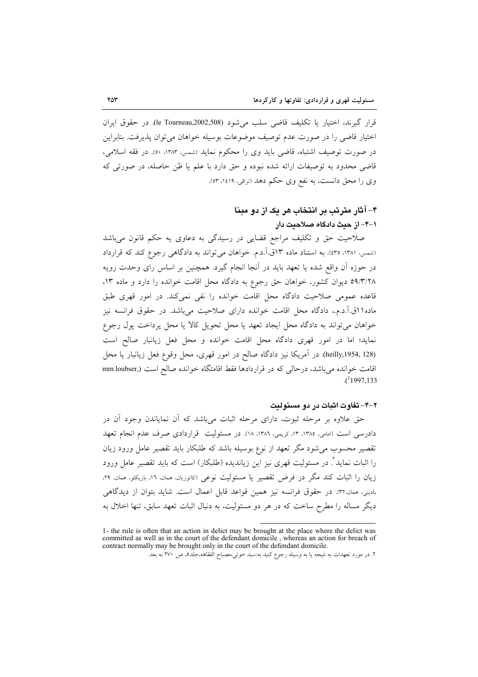قرار گیرند، اختیار یا تکلیف قاضی سلب می شود (le Tourneau,2002,508). در حقوق ایران اختیار قاضی را در صورت عدم توصیف موضوعات بوسیله خواهان می توان پذیرفت. بنابراین در صورت توصيف اشتباه، قاضي بايد وي را محكوم نمايد (شمس، ١٣٨٣، ٥٠). در فقه اسلامي، قاضی محدود به توصیفات ارائه شده نبوده و حق دارد با علم یا ظن حاصله، در صورتی که وي را محق دانست، به نفع وي حكم دهد (نراقي، ١٤١٩، ٥٣).

# ۴- آثار مترتب بر انتخاب هر یک از دو مینا ۱–۴– از حىث دادگاه صلاحىت دار

صلاحیت حق و تکلیف مراجع قضایی در رسیدگی به دعاوی یه حکم قانون میباشد (شمس، ۱۳۸۱، ۲۵). به استناد ماده ۱۳ق.آ.د.م. خواهان می تواند به دادگاهی رجوع کند که قرارداد در حوزه اّن واقع شده یا تعهد باید در اّنجا انجام گیرد. همچنین بر اساس رای وحدت رویه ٥٩/٣/٢٨ ديوان كشور، خواهان حق رجوع به دادگاه محل اقامت خوانده را دارد و ماده ١٣، قاعده عمومی صلاحیت دادگاه محل اقامت خوانده را نفی نمی کند. در امور قهری طبق ماده ۱۱ق.آ.د.م.، دادگاه محل اقامت خوانده دارای صلاحیت میباشد. در حقوق فرانسه نیز خواهان می تواند به دادگاه محل ایجاد تعهد یا محل تحویل کالا یا محل پرداخت پول رجوع نماید؛ اما در امور قهری دادگاه محل اقامت خوانده و محل فعل زیانبار صالح است (heilly,1954, 128). در آمریکا نیز دادگاه صالح در امور قهری، محل وقوع فعل زیانبار یا محل اقامت خوانده میباشد، درحالی که در قراردادها فقط اقامتگاه خوانده صالح است (,mm.loubser  $(1997.133)$ 

### ٢-٣- تفاوت اثبات در دو مسئوليت

حق علاوه بر مرحله ثبوت، دارای مرحله اثبات میباشد که آن نمایاندن وجود آن در دادرسی است (امامی، ۱۳۸۵، ۱۳، کریمی، ۱۳۸۲، ۱۸). در مسئولیت قراردادی صرف عدم انجام تعهد تقصیر محسوب می شود مگر تعهد از نوع بوسیله باشد که طلبکار باید تقصیر عامل ورود زیان را اثبات نماید". در مسئولیت قهری نیز این زیاندیده (طلبکار) است که باید تقصیر عامل ورود زیان را اثبات کند مگر در فرض تقصیر یا مسئولیت نوعی (کاتوزیان، ممان، ١٦، باریکلو، ممان. ٢٩، باديني، همان،٣٢. در حقوق فرانسه نيز همين قواعد قابل اعمال است. شايد بتوان از ديدگاهي دیگر مساله را مطرح ساخت که در هر دو مسئولیت، به دنبال اثبات تعهد سابق، تنها اخلال به

<sup>1-</sup> the rule is often that an action in delict may be brought at the place where the delict was committed as well as in the court of the defendant domicile, whereas an action for breach of contract normally may be brought only in the court of the defendant domicile.

۲. در مورد تعهدات به نتیجه یا به وسیله رجوع کنید به:سید خوئی،مصباح الفقاهه،جلد٥، ص ۲۷۰ به بعد.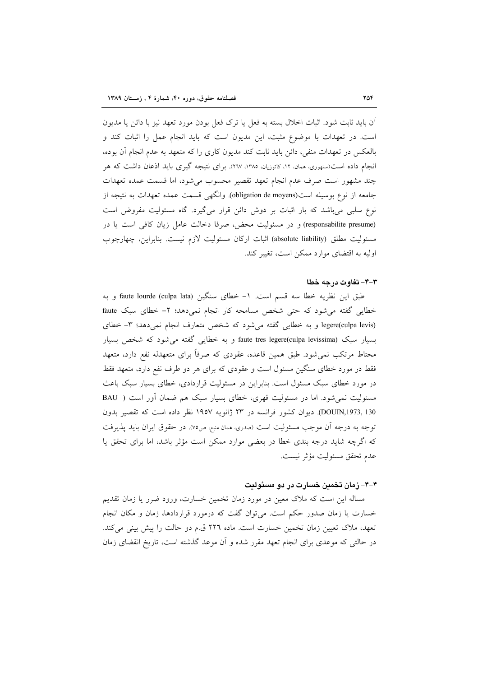آن باید ثابت شود. اثبات اخلال بسته به فعل یا ترک فعل بودن مورد تعهد نیز با دائن یا مدیون است. در تعهدات با موضوع مثبت، این مدیون است که باید انجام عمل را اثبات کند و بالعکس در تعهدات منفی، دائن باید ثابت کند مدیون کاری را که متعهد به عدم انجام أن بوده، انجام داده است(سنهوری، ممان، ۱۲، کاتوزیان، ۱۳۸۵، ۲۱۷). برای نتیجه گیری باید اذعان داشت که هر چند مشهور است صرف عدم انجام تعهد تقصیر محسوب می شود، اما قسمت عمده تعهدات جامعه از نوع بوسیله است(obligation de moyens). وانگهی قسمت عمده تعهدات به نتیجه از نوع سلبی می باشد که بار اثبات بر دوش دائن قرار میگیرد. گاه مسئولیت مفروض است (responsabilite presume) و در مسئولیت محض، صرفا دخالت عامل زیان کافی است یا در مسئولیت مطلق (absolute liability) اثبات ارکان مسئولیت لازم نیست. بنابراین، چهارچوب اولیه به اقتضای موارد ممکن است، تغییر کند.

#### ۳-۴- تفاوت در چه خطا

طبق این نظریه خطا سه قسم است. ١- خطای سنگین (faute lourde (culpa lata) و به خطایی گفته می شود که حتی شخص مسامحه کار انجام نمی دهد؛ ۲- خطای سبک faute legere(culpa levis) و به خطایی گفته می شود که شخص متعارف انجام نمی دهد؛ ٣- خطای بسیار سبک (faute tres legere(culpa levissima و به خطایی گفته می شود که شخص بسیار محتاط مرتکب نمی شود. طبق همین قاعده، عقودی که صرفاً برای متعهدله نفع دارد، متعهد فقط در مورد خطای سنگین مسئول است و عقودی که برای هر دو طرف نفع دارد، متعهد فقط در مورد خطای سبک مسئول است. بنابراین در مسئولیت قراردادی، خطای بسیار سبک باعث مسئولیت نمیشود. اما در مسئولیت قهری، خطای بسیار سبک هم ضمان آور است ( BAU DOUIN,1973, 130). ديوان كشور فرانسه در ٢٣ ژانويه ١٩٥٧ نظر داده است كه تقصير بدون توجه به درجه آن موجب مسئوليت است (صدري، ممان منبع، ص٧٥). در حقوق ايران بايد پذيرفت که اگرچه شاید درجه بندی خطا در بعضی موارد ممکن است مؤثر باشد، اما برای تحقق یا عدم تحقق مسئوليت مؤثر نيست.

### ۴–۴– زمان تخمین خسارت در دو مسئولیت

مساله این است که ملاک معین در مورد زمان تخمین خسارت، ورود ضرر یا زمان تقدیم خسارت یا زمان صدور حکم است. میتوان گفت که درمورد قراردادها، زمان و مکان انجام تعهد، ملاک تعیین زمان تخمین خسارت است. ماده ٢٢٦ ق.م دو حالت را پیش بینی میکند. در حالتی که موعدی برای انجام تعهد مقرر شده و آن موعد گذشته است، تاریخ انقضای زمان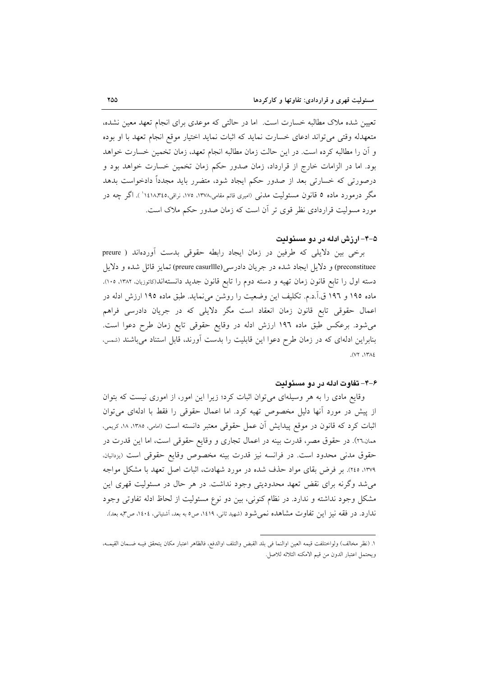تعیین شده ملاک مطالبه خسارت است. اما در حالتی که موعدی برای انجام تعهد معین نشده، متعهدله وقتی می تواند ادعای خسارت نماید که اثبات نماید اختیار موقع انجام تعهد با او بوده و أن را مطالبه كرده است. در اين حالت زمان مطالبه انجام تعهد، زمان تخمين خسارت خواهد بود. اما در الزامات خارج از قرارداد، زمان صدور حکم زمان تخمین خسارت خواهد بود و درصورتی که خسارتی بعد از صدور حکم ایجاد شود، متضرر باید مجدداً دادخواست بدهد مگر درمورد ماده ٥ قانون مسئولیت مدنی (امیری قائم مقامی،١٣٧٨، ١٧٥، نراقی،١٤١٨،٣٤٥ ). اگر چه در مورد مسولیت قراردادی نظر قوی تر آن است که زمان صدور حکم ملاک است.

### ۵–۴– ارزش ادله در دو مسئولت

برخی بین دلایلی که طرفین در زمان ایجاد رابطه حقوقی بدست آوردهاند ( preure preconstituee) و دلایل ایجاد شده در جریان دادرسی(preure casurllle) تمایز قائل شده و دلایل دسته اول را تابع قانون زمان تهیه و دسته دوم را تابع قانون جدید دانستهاند(کاتوزیان، ۱۳۸۲، ۱۰۰). ماده ۱۹۵ و ۱۹۲ ق.آ.د.م. تکلیف این وضعیت را روشن می نماید. طبق ماده ۱۹۵ ارزش ادله در اعمال حقوقی تابع قانون زمان انعقاد است مگر دلایلی که در جریان دادرسی فراهم می شود. برعکس طبق ماده ۱۹۶ ارزش ادله در وقایع حقوقی تایع زمان طرح دعوا است. بنابراین ادلهای که در زمان طرح دعوا این قابلیت را بدست آورند، قابل استناد میباشند (شمس،  $(VY, \Delta Y)$ 

### ۶–۴– تفاوت ادله در دو مسئولیت

وقایع مادی را به هر وسیلهای می توان اثبات کرد؛ زیرا این امور، از اموری نیست که بتوان از پیش در مورد آنها دلیل مخصوص تهیه کرد. اما اعمال حقوقی را فقط با ادلهای می توان اثبات کرد که قانون در موقع پیدایش آن عمل حقوقی معتبر دانسته است (امامی، ۱۳۸۵، ۱۸، کریمی، همان.٢٦). در حقوق مصر، قدرت بینه در اعمال تجاری و وقایع حقوقی است، اما این قدرت در حقوق مدنی محدود است. در فرانسه نیز قدرت بینه مخصوص وقایع حقوقی است (یزدانیان. ۱۳۷۹، ۲٤٥). بر فرض بقای مواد حذف شده در مورد شهادت، اثبات اصل تعهد با مشکل مواجه می شد وگرنه برای نقض تعهد محدودیتی وجود نداشت. در هر حال در مسئولیت قهری این مشکل وجود نداشته و ندارد. در نظام کنونی، بین دو نوع مسئولیت از لحاظ ادله تفاوتی وجود ندارد. در فقه نیز این تفاوت مشاهده نمیشود (شهید ثانی، ۱٤۱۹، ص٥ به بعد، آشتیانی، ۱٤٠٤، ص٣به بعد).

١. (نظر مخالف) ولواختلفت قيمه العين اوالنما في بلد القبض والتلف اوالدفع، فالظاهر اعتبار مكان يتحقق فيـه ضـمان القيمـه، ويحتمل اعتبار الدون من قيم الامكنه الثلاثه للاصل.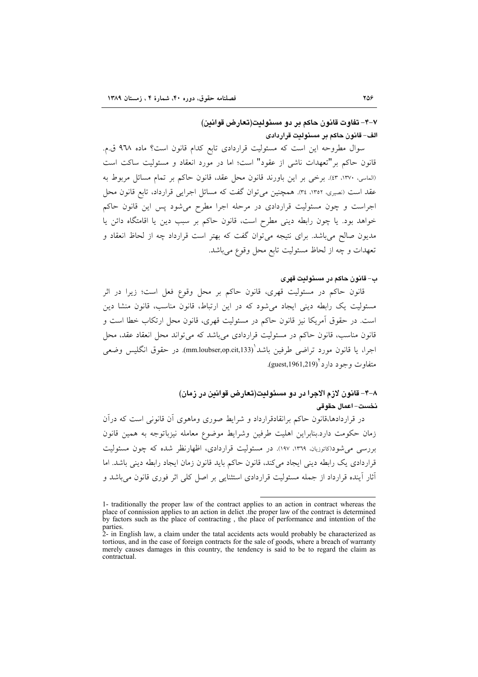## ٧–۴– تفاوت قانون حاكم بر دو مسئولتت(تعارض قوانين) الف– قانون حاكم بر مسئوليت قراردادى

سوال مطروحه این است که مسئولیت قراردادی تابع کدام قانون است؟ ماده ۹٦٨ ق.م. قانون حاكم بر "تعهدات ناشي از عقود" است؛ اما در مورد انعقاد و مسئوليت ساكت است (الماسي، ١٣٧٠، ٣١). برخي بر اين باورند قانون محل عقد، قانون حاكم بر تمام مسائل مربوط به عقد است (نصیری، ١٣٥٢، ٣٤). همچنین می توان گفت که مسائل اجرایی قرارداد، تابع قانون محل اجراست و چون مسئولیت قراردادی در مرحله اجرا مطرح می شود پس این قانون حاکم خواهد بود. يا چون رابطه ديني مطرح است، قانون حاكم بر سبب دين يا اقامتگاه دائن يا مدیون صالح می باشد. برای نتیجه می توان گفت که بهتر است قرارداد چه از لحاظ انعقاد و تعهدات و چه از لحاظ مسئوليت تابع محل وقوع مي باشد.

### ب – قانون حاكم در مسئوليت قهري

قانون حاکم در مسئولیت قهری، قانون حاکم بر محل وقوع فعل است؛ زیرا در اثر مسئولیت یک رابطه دینی ایجاد می شود که در این ارتباط، قانون مناسب، قانون منشا دین است. در حقوق آمريكا نيز قانون حاكم در مسئوليت قهري، قانون محل ارتكاب خطا است و قانون مناسب، قانون حاکم در مسئولیت قراردادی می باشد که می تواند محل انعقاد عقد، محل اجرا، يا قانون مورد تراضي طرفين باشد (mm.loubser,op.cit,133). در حقوق انگليس وضعي متفاوت و جو د دارد '(guest,1961,219).

## ٨-۴– قانون لازم الاجرا در دو مسئوليت(تعارض قوانين در زمان) نخست–اعمال حقوقي

در قراردادها،قانون حاکم برانقادقرارداد و شرایط صوری وماهوی آن قانونی است که درآن زمان حكومت دارد.بنابراين اهليت طرفين وشرايط موضوع معامله نيزباتوجه به همين قانون بررسی می شود(کاتوزیان، ۱۳٦۹، ۱۹۷). در مسئولیت قراردادی، اظهارنظر شده که چون مسئولیت قراردادی یک رابطه دینی ایجاد می کند، قانون حاکم باید قانون زمان ایجاد رابطه دینی باشد. اما أثار أينده قرارداد از جمله مسئوليت قراردادي استثنايي بر اصل كلي اثر فوري قانون ميباشد و

<sup>1-</sup> traditionally the proper law of the contract applies to an action in contract whereas the place of connission applies to an action in delict the proper law of the contract is determined by factors such as the place of contracting, the place of performance and intention of the parties.

<sup>2-</sup> in English law, a claim under the tatal accidents acts would probably be characterized as tortious, and in the case of foreign contracts for the sale of goods, where a breach of warranty merely causes damages in this country, the tendency is said to be to regard the claim as contractual.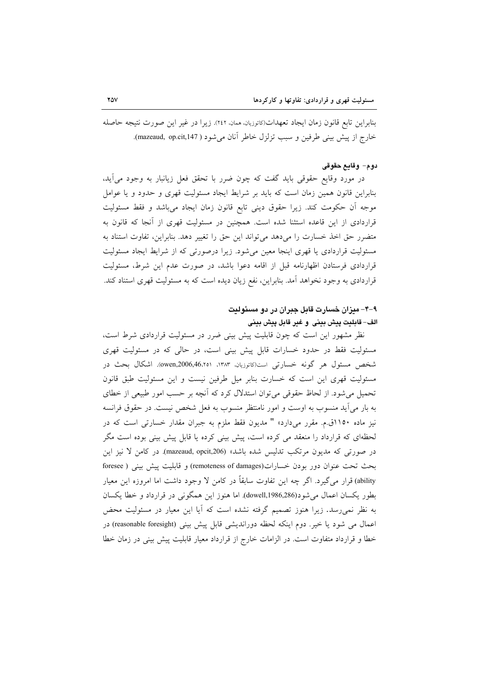بنابراین تابع قانون زمان ایجاد تعهدات(کاتوزیان، همان، ٢٤٢). زیرا در غیر این صورت نتیجه حاصله خارج از پیش بینی طرفین و سبب تزلزل خاطر آنان می شود ( mazeaud, op.cit,147).

### دوم- وقايع حقوقى

در مورد وقایع حقوقی باید گفت که چون ضرر با تحقق فعل زیانبار به وجود میٍأید، بنابراین قانون همین زمان است که باید بر شرایط ایجاد مسئولیت قهری و حدود و یا عوامل موجه أن حكومت كند. زيرا حقوق ديني تابع قانون زمان ايجاد مي باشد و فقط مسئوليت قراردادی از این قاعده استثنا شده است. همچنین در مسئولیت قهری از آنجا که قانون به متضرر حق اخذ خسارت را مى دهد مى تواند اين حق را تغيير دهد. بنابراين، تفاوت استناد به مسئولیت قراردادی یا قهری اینجا معین میشود. زیرا درصورتی که از شرایط ایجاد مسئولیت قراردادی فرستادن اظهارنامه قبل از اقامه دعوا باشد، در صورت عدم این شرط، مسئولیت قراردادی به وجود نخواهد آمد. بنابراین، نفع زیان دیده است که به مسئولیت قهری استناد کند.

## ۹-۴- میزان خسارت قابل جبران در دو مسئولیت الف– قابليت ييش بيني و غير قابل ييش بيني

نظر مشهور این است که چون قابلیت پیش بینی ضرر در مسئولیت قراردادی شرط است، مسئولیت فقط در حدود خسارات قابل پیش بینی است، در حالی که در مسئولیت قهری شخص مسئول هر گونه خسارتی است(کاتوزیان، ۱۳۸۳، ۵۷۵٫46،۲۵۱). اشکال بحث در مسئولیت قهری این است که خسارت بنابر میل طرفین نیست و این مسئولیت طبق قانون تحمیل می شود. از لحاظ حقوقی می توان استدلال کرد که آنچه بر حسب امور طبیعی از خطای به بار می آید منسوب به اوست و امور نامنتظر منسوب به فعل شخص نیست. در حقوق فرانسه نیز ماده ۱۱۵۰ق.م. مقرر میدارد» " مدیون فقط ملزم به جبران مقدار خسارتی است که در لحظهای که قرارداد را منعقد می کرده است، پیش بینی کرده یا قابل پیش بینی بوده است مگر در صورتی که مدیون مرتکب تدلیس شده باشد» (mazeaud, opcit,206). در کامن لا نیز این بحث تحت عنوان دور بودن خسارات(remoteness of damages) و قابليت پيش بيني ( foresee ability) قرار می گیرد. اگر چه این تفاوت سابقاً در کامن لا وجود داشت اما امروزه این معیار بطور يكسان اعمال مي شود(dowell,1986,286). اما هنوز اين همگوني در قرارداد و خطا يكسان به نظر نمیرسد. زیرا هنوز تصمیم گرفته نشده است که آیا این معیار در مسئولیت محض اعمال می شود یا خیر. دوم اینکه لحظه دوراندیشی قابل پیش بینی (reasonable foresight) در خطا و قرارداد متفاوت است. در الزامات خارج از قرارداد معیار قابلیت پیش بینی در زمان خطا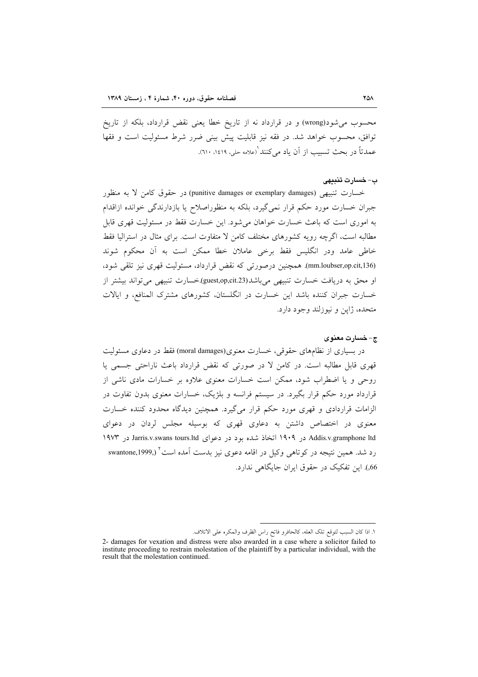محسوب می شود(wrong) و در قرارداد نه از تاریخ خطا یعنی نقض قرارداد، بلکه از تاریخ توافق، محسوب خواهد شد. در فقه نیز قابلیت پیش بینی ضرر شرط مسئولیت است و فقها عمدتاً در بحث تسبب از آن باد مرکنند (علامه حله، ۱٤١٩، ٦١٠).

### ب–خسارت تنبيهى

خسارت تنبيهي (punitive damages or exemplary damages) در حقوق كامن لا به منظور جبران خسارت مورد حکم قرار نمی گیرد، بلکه به منظوراصلاح یا بازدارندگی خوانده ازاقدام به اموری است که باعث خسارت خواهان می شود. این خسارت فقط در مسئولیت قهری قابل مطالبه است، اگرچه رویه کشورهای مختلف کامن لا متفاوت است. برای مثال در استرالیا فقط خاطی عامد ودر انگلیس فقط برخی عاملان خطا ممکن است به آن محکوم شوند (mm.loubser,op.cit,136). همچنین درصورتی که نقض قرارداد، مسئولیت قهری نیز تلقی شود، او محق به دریافت خسارت تنبیهی میباشد(guest,op,cit.23) خسارت تنبیهی می تواند بیشتر از خسارت جبران کننده باشد این خسارت در انگلستان، کشورهای مشترک المنافع، و ایالات متحده، ژاپن و نیوزلند وجود دارد.

### ج-خسارت معنوى

در بسیاری از نظامهای حقوقی، خسارت معنوی(moral damages) فقط در دعاوی مسئولیت قهري قابل مطالبه است. در كامن لا در صورتي كه نقض قرارداد باعث ناراحتي جسمي يا روحی و یا اضطراب شود، ممکن است خسارات معنوی علاوه بر خسارات مادی ناشی از قرارداد مورد حکم قرار بگیرد. در سیستم فرانسه و بلژیک، خسارات معنوی بدون تفاوت در الزامات قراردادی و قهری مورد حکم قرار میگیرد. همچنین دیدگاه محدود کننده خسارت معنوی در اختصاص داشتن به دعاوی قهری که بوسیله مجلس لردان در دعوای Addis.v.gramphone ltd در ۱۹۰۹ اتخاذ شده بود در دعوای Jarris.v.swans tours.ltd در ۱۹۷۳ رد شد. همین نتیجه در کوتاهی وکیل در اقامه دعوی نیز بدست اَمده است<sup>۲</sup> (,swantone,1999 66.). این تفکیک در حقوق ایران جایگاهی ندارد.

١. اذا كان السبب لتوقع تلك العله، كالحافرو فاتح راس الظرف والمكره على الاتلاف.

<sup>2-</sup> damages for vexation and distress were also awarded in a case where a solicitor failed to institute proceeding to restrain molestation of the plaintiff by a particular individual, with the result that the molestation continued.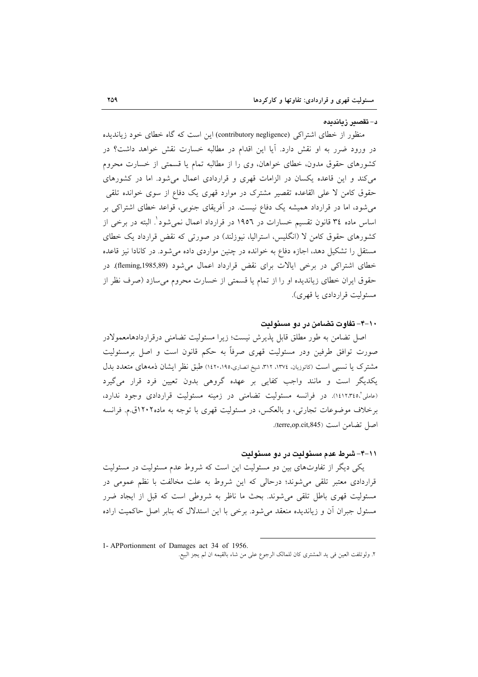#### د– تقصیر زیاندیده

منظور از خطای اشتراکی (contributory negligence) این است که گاه خطای خود زیاندیده در ورود ضرر به او نقش دارد. آیا این اقدام در مطالبه خسارت نقش خواهد داشت؟ در کشورهای حقوق مدون، خطای خواهان، وی را از مطالبه تمام یا قسمتی از خسارت محروم می کند و این قاعده یکسان در الزامات قهری و قراردادی اعمال می شود. اما در کشورهای حقوق کامن لا علی القاعده تقصیر مشترک در موارد قهری یک دفاع از سوی خوانده تلقی می شود، اما در قرارداد همیشه یک دفاع نیست. در آفریقای جنوبی، قواعد خطای اشتراکی بر اساس ماده ٣٤ قانون تقسيم خسارات در ١٩٥٦ در قرارداد اعمال نمي شود'. البته در برخي از کشورهای حقوق کامن لا (انگلیس، استرالیا، نبوزلند) در صورتی که نقض قرارداد یک خطای مستقل را تشکیل دهد، اجازه دفاع به خوانده در چنین مواردی داده می شود. در کانادا نیز قاعده خطای اشتراکی در برخی ایالات برای نقض قرارداد اعمال میشود (fleming,1985,89). در حقوق ایران خطای زیاندیده او را از تمام یا قسمتی از خسارت محروم میسازد (صرف نظر از مسئولت قرار دادي يا قهري).

### ۱۰–۴– تفاوت تضامن در دو مسئولیت

اصل تضامن به طور مطلق قابل پذیرش نیست؛ زیرا مسئولیت تضامنی درقراردادهامعمولادر صورت توافق طرفین ودر مسئولیت قهری صرفاً به حکم قانون است و اصل برمسئولیت مشترک یا نسبی است (کاتوزیان، ۱۳۷٤، ۳۱۲، شیخ انصاری،۱٤۲۰،۱۹۵ طبق نظر ایشان ذمههای متعدد بدل یکدیگر است و مانند واجب کفایی بر عهده گروهی بدون تعیین فرد قرار میگیرد (عاملي"،١٤١٢،٣٤٥). در فرانسه مسئوليت تضامني در زمينه مسئوليت قراردادي وجود ندارد، برخلاف موضوعات تجارتی، و بالعکس، در مسئولیت قهری با توجه به ماده ۱۲۰۲ق.م. فرانسه اصل تضامن است (terre,op.cit,845).

### 11-۴–شرط عدم مسئولتت در دو مسئولت

یکی دیگر از تفاوتهای بین دو مسئولیت این است که شروط عدم مسئولیت در مسئولیت قراردادی معتبر تلقی می شوند؛ درحالی که این شروط به علت مخالفت با نظم عمومی در مسئولیت قهری باطل تلقی می شوند. بحث ما ناظر به شروطی است که قبل از ایجاد ضرر مسئول جبران آن و زیاندیده منعقد می شود. برخی با این استدلال که بنابر اصل حاکمیت اراده

<sup>1-</sup> APPortionment of Damages act 34 of 1956. ٢. ولوتلفت العين في يد المشترى كان للمالك الرجوع على من شاء بالقيمه ان لم يجز البيع.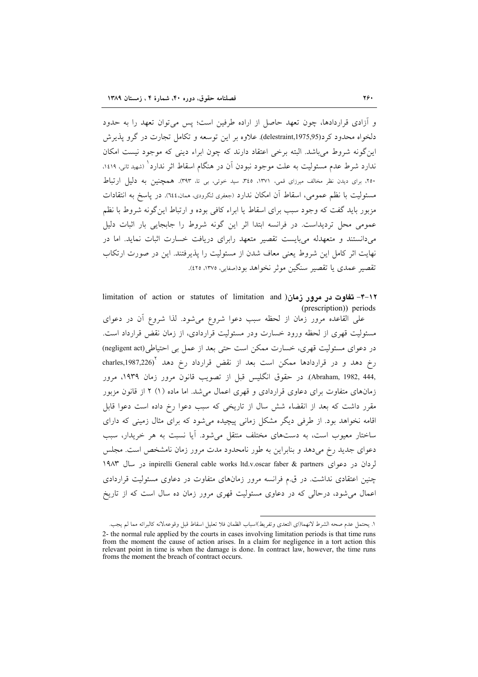و اَزادی قراردادها، چون تعهد حاصل از اراده طرفین است؛ پس می توان تعهد را به حدود دلخواه محدود کر د(1975٫95٫95)delestraint ). علاوه بر این توسعه و تکامل تجارت در گرو پذیرش این گونه شروط می باشد. البته برخی اعتقاد دارند که چون ابراء دینی که موجود نیست امکان ندارد شرط عدم مسئولیت به علت موجود نبودن آن در هنگام اسقاط اثر ندارد` (شهید ثانی، ۱٤۱۹، ۲۵۰، برای دیدن نظر مخالف میرزای قمی، ۱۳۷۱، ۴٤٥، سید خوئی، بی تا، ۳۹۳). همچنین به دلیل ارتباط مسئوليت با نظم عمومي، اسقاط أن امكان ندارد (جعفرى لنكرودى، ممان،١٤٤). در پاسخ به انتقادات مزبور بايد گفت كه وجود سبب براي اسقاط يا ابراء كافي بوده و ارتباط اين گونه شروط با نظم عمومی محل تردیداست. در فرانسه ابتدا اثر این گونه شروط را جابجایی بار اثبات دلیل میدانستند و متعهدله میبایست تقصیر متعهد رابرای دریافت خسارت اثبات نماید. اما در نهایت اثر کامل این شروط یعنی معاف شدن از مسئولیت را پذیرفتند. این در صورت ارتکاب تقصير عمدي يا تقصير سنگين موثر نخواهد بود(صفايي، ١٣٧٥، ٤٢٥).

Iimitation of action or statutes of limitation and )نقاوت در مرور زمان ( (prescription)) periods

على القاعده مرور زمان از لحظه سبب دعوا شروع مى شود. لذا شروع آن در دعواى مسئولیت قهری از لحظه ورود خسارت ودر مسئولیت قراردادی، از زمان نقض قرارداد است. در دعوای مسئولیت قهری، خسارت ممکن است حتی بعد از عمل بی احتیاطی(negligent act) رخ دهد و در قراردادها ممكن است بعد از نقض قرارداد رخ دهد آ(charles,1987,226 ,Abraham, 1982, 444). در حقوق انگلیس قبل از تصویب قانون مرور زمان ۱۹۳۹، مرور زمانهای متفاوت برای دعاوی قراردادی و قهری اعمال می شد. اما ماده (۱) ۲ از قانون مزبور مقرر داشت که بعد از انقضاء شش سال از تاریخی که سبب دعوا رخ داده است دعوا قابل اقامه نخواهد بود. از طرفی دیگر مشکل زمانی پیچیده می شود که برای مثال زمینی که دارای ساختار معیوب است، به دستهای مختلف منتقل می شود. آیا نسبت به هر خریدار، سبب دعوای جدید رخ میدهد و بنابراین به طور نامحدود مدت مرور زمان نامشخص است. مجلس لردان در دعوای inpirelli General cable works ltd.v.oscar faber & partners در سال ۱۹۸۳ چنین اعتقادی نداشت. در ق.م فرانسه مرور زمانهای متفاوت در دعاوی مسئولیت قراردادی اعمال می شود، درحالی که در دعاوی مسئولیت قهری مرور زمان ده سال است که از تاریخ

١. يحتمل عدم صحه الشرط لانهما(اي التعدي وتفريط)اسباب الظمان فلا تعليل اسقاط قبل وقوعه،لانه كالبرائه مما لم يجب. 2- the normal rule applied by the courts in cases involving limitation periods is that time runs from the moment the cause of action arises. In a claim for negligence in a tort action this relevant point in time is when the damage is done. In contract law, however, the time runs froms the moment the breach of contract occurs.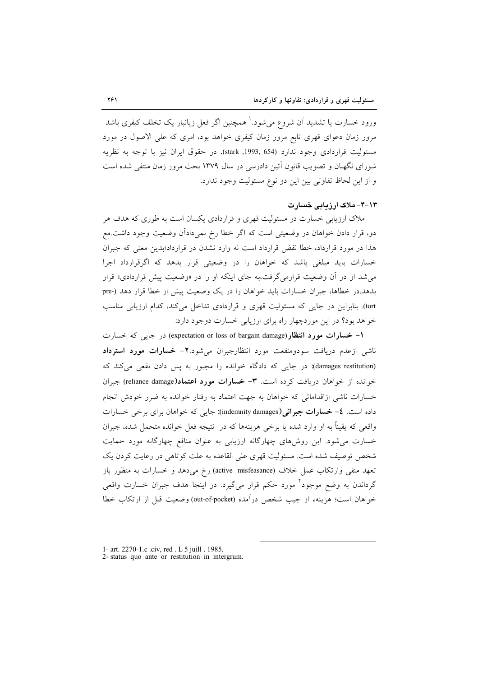ورود خسارت یا تشدید اَن شروع می شود.' همچنین اگر فعل زیانبار یک تخلف کیفری باشد مرور زمان دعوای قهری تابع مرور زمان کیفری خواهد بود، امری که علی الاصول در مورد مسئوليت قراردادي وجود ندارد (54) ,stark) 1993). در حقوق ايران نيز با توجه به نظريه شورای نگهبان و تصویب قانون آئین دادرسی در سال ۱۳۷۹ بحث مرور زمان منتفی شده است و از این لحاظ تفاوتی بین این دو نوع مسئولیت وجود ندارد.

۱۳–۴– ملاک ارزبابی خسارت

ملاک ارزیابی خسارت در مسئولیت قهری و قراردادی یکسان است به طوری که هدف هر دو، قرار دادن خواهان در وضعیتی است که اگر خطا رخ نمیدادآن وضعیت وجود داشت.مع هذا در مورد قرارداد، خطا نقض قرارداد است نه وارد نشدن در قرارداد؛بدین معنی که جبران خسارات باید مبلغی باشد که خواهان را در وضعیتی قرار بدهد که اگرقرارداد اجرا می شد او در آن وضعیت قرارمی گرفت،به جای اینکه او را در «وضعیت پیش قراردادی» قرار بدهد.در خطاها، جبران خسارات باید خواهان را در یک وضعیت پیش از خطا قرار دهد (-pre tort). بنابراین در جایی که مسئولیت قهری و قراردادی تداخل میکند، کدام ارزیابی مناسب خواهد بود؟ در این موردچهار راه برای ارزیابی خسارت دوجود دارد:

۱- خسارات مورد انتظار(expectation or loss of bargain damage) در جایی که خسارت ناشی ازعدم دریافت سودومنفعت مورد انتظارجبران میشود.٢- خسارات مورد استرداد (damages restitution): در جایی که دادگاه خوانده را مجبور به پس دادن نفعی می کند که خوانده از خواهان دریافت کرده است. ۳- خسارات مورد اعتماد(reliance damage) جبران خسارات ناشی ازاقداماتی که خواهان به جهت اعتماد به رفتار خوانده به ضرر خودش انجام داده است. ٤- خسارات جبرانی (indemnity damages): جایی که خواهان برای برخی خسارات واقعی که یقیناً به او وارد شده یا برخی هزینهها که در نتیجه فعل خوانده متحمل شده، جبران خسارت می شود. این روشهای چهارگانه ارزیابی به عنوان منافع چهارگانه مورد حمایت شخص توصیف شده است. مسئولیت قهری علی القاعده به علت کوتاهی در رعایت کردن یک تعهد منفی وارتکاب عمل خلاف (active misfeasance) رخ می دهد و خسارات به منظور باز گرداندن به وضع موجود<sup>۲</sup> مورد حکم قرار میگیرد. در اینجا هدف جبران خسارت واقعی خواهان است؛ هزينهء از جيب شخص درآمده (out-of-pocket) وضعيت قبل از ارتكاب خطا

<sup>1-</sup> art. 2270-1.c .civ, red . L 5 juill . 1985. 2- status quo ante or restitution in intergrum.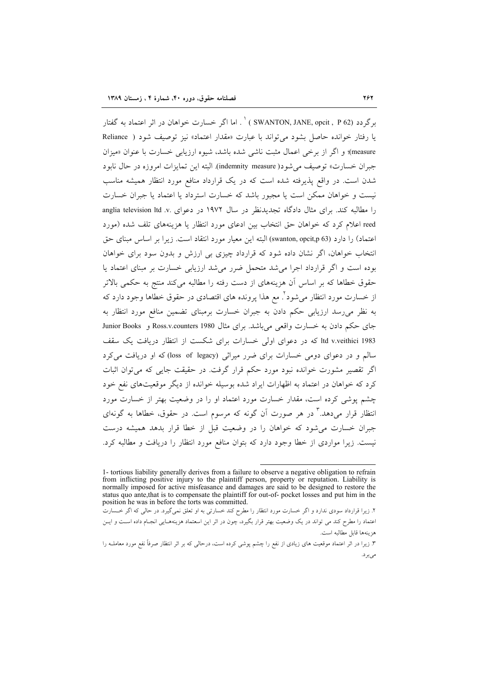برگردد (SWANTON, JANE, opcit , P 62 ) ` . اما اگر خسارت خواهان در اثر اعتماد به گفتار با رفتار خوانده حاصل بشود می تواند با عبارت «مقدار اعتماد» نیز توصیف شود ( Reliance measure)؛ و اگر از برخی اعمال مثبت ناشی شده باشد، شیوه ارزیابی خسارت با عنوان «میزان جبران خسارت» توصيف مي شود( indemnity measure). البته اين تمايزات امروزه در حال نابود شدن است. در واقع پذیرفته شده است که در یک قرارداد منافع مورد انتظار همیشه مناسب نیست و خواهان ممکن است یا مجبور باشد که خسارت استرداد یا اعتماد یا جبران خسارت را مطالبه کند. برای مثال دادگاه تجدیدنظر در سال ۱۹۷۲ در دعوای .saglia television ltd .v reed اعلام کرد که خواهان حق انتخاب بین ادعای مورد انتظار یا هزینههای تلف شده (مورد اعتماد) را دارد (swanton, opcit,p 63) البته اين معيار مورد انتقاد است. زيرا بر اساس مبناى حق انتخاب خواهان، اگر نشان داده شود که قرارداد چیزی بی ارزش و بدون سود برای خواهان بوده است و اگر قرارداد اجرا می شد متحمل ضرر می شد ارزیابی خسارت بر مبنای اعتماد یا حقوق خطاها که بر اساس آن هزینههای از دست رفته را مطالبه میکند منتج به حکمی بالاتر از خسارت مورد انتظار می شود ٌ. مع هذا پرونده های اقتصادی در حقوق خطاها وجود دارد که به نظر می٫رسد ارزیابی حکم دادن به جبران خسارت برمبنای تضمین منافع مورد انتظار به جای حکم دادن به خسارت واقعی میباشد. برای مثال Ross.v.counters 1980 و Junior Books ltd v.veithici 1983 که در دعوای اولی خسارات برای شکست از انتظار دریافت یک سقف سالم و در دعوای دومی خسارات برای ضرر میراثی (loss of legacy) که او دریافت می کرد اگر تقصیر مشورت خوانده نبود مورد حکم قرار گرفت. در حقیقت جایبی که می توان اثبات کرد که خواهان در اعتماد به اظهارات ایراد شده بوسیله خوانده از دیگر موقعیتهای نفع خود چشم یوشی کرده است، مقدار خسارت مورد اعتماد او را در وضعیت بهتر از خسارت مورد انتظار قرار می،دهد.<sup>۳</sup> در هر صورت آن گونه که مرسوم است. در حقوق، خطاها به گونهای جبران خسارت می شود که خواهان را در وضعیت قبل از خطا قرار بدهد همیشه درست نیست. زیرا مواردی از خطا وجود دارد که بتوان منافع مورد انتظار را دریافت و مطالبه کرد.

<sup>1-</sup> tortious liability generally derives from a failure to observe a negative obligation to refrain from inflicting positive injury to the plaintiff person, property or reputation. Liability is normally imposed for active misfeasance and damages are said to be designed to restore the status quo ante, that is to compensate the plaintiff for out-of- pocket losses and put him in the position he was in before the torts was committed.

۲. زیرا قرارداد سودی ندارد و اگر خسارت مورد انتظار را مطرح کند خسارتی به او تعلق نمیگیرد. در حالی که اگر خـسارت اعتماد را مطرح کند می تواند در یک وضعیت بهتر قرار بگیرد، چون در اثر این اسعتماد هزینههـایی انجـام داده اسـت و ایــن هزينهها قابل مطالبه است.

۳. زیرا در اثر اعتماد موقعیت های زیادی از نفع را چشم پوشی کرده است، درحالی که بر اثر انتظار صرفاً نفع مورد معاملـه را مىبرد.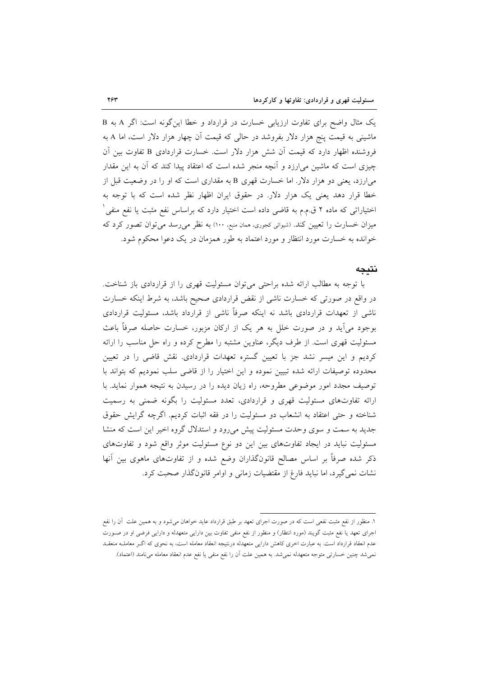یک مثال واضح برای تفاوت ارزیابی خسارت در قرارداد و خطا این گونه است: اگر A به B ماشینی به قیمت پنج هزار دلار بفروشد در حال<sub>ی</sub> که قیمت آن چهار هزار دلار است، اما A به فروشنده اظهار دارد که قیمت آن شش هزار دلار است. خسارت قراردادی B تفاوت بین آن چیزی است که ماشین می[رزد و آنچه منجر شده است که اعتقاد پیدا کند که آن به این مقدار می|رزد، یعنی دو هزار دلار. اما خسارت قهری B به مقداری است که او را در وضعیت قبل از خطا قرار دهد یعنی یک هزار دلار. در حقوق ایران اظهار نظر شده است که با توجه به اختیاراتی که ماده ۲ ق.م.م به قاضی داده است اختیار دارد که براساس نفع مثبت یا نفع منفی ٔ میزان خسارت را تعیین کند. (شیوائی کجوری، همان منبع، ١٠٠) به نظر می رسد می توان تصور کرد که خوانده به خسارت مورد انتظار و مورد اعتماد به طور همزمان در یک دعوا محکوم شود.

### نتىجە

با توجه به مطالب ارائه شده براحتی می توان مسئولیت قهری را از قراردادی باز شناخت. در واقع در صورتی که خسارت ناشی از نقض قراردادی صحیح باشد، به شرط اینکه خسارت ناشی از تعهدات قراردادی باشد نه اینکه صرفاً ناشی از قرارداد باشد، مسئولیت قراردادی بوجود می]ید و در صورت خلل به هر یک از ارکان مزبور، خسارت حاصله صرفاً باعث مسئولیت قهری است. از طرف دیگر، عناوین مشتبه را مطرح کرده و راه حل مناسب را ارائه کردیم و این میسر نشد جز با تعیین گستره تعهدات قراردادی. نقش قاضی را در تعیین محدوده توصیفات ارائه شده تبیین نموده و این اختیار را از قاضی سلب نمودیم که بتواند با توصیف مجدد امور موضوعی مطروحه، راه زیان دیده را در رسیدن به نتیجه هموار نماید. با ارائه تفاوتهای مسئولیت قهری و قراردادی، تعدد مسئولیت را بگونه ضمنی به رسمیت شناخته و حتى اعتقاد به انشعاب دو مسئوليت را در فقه اثبات كرديم. اگرچه گرايش حقوق جدید به سمت و سوی وحدت مسئولیت پیش میرود و استدلال گروه اخیر این است که منشا مسئولیت نباید در ایجاد تفاوتهای بین این دو نوع مسئولیت موثر واقع شود و تفاوتهای ذکر شده صرفاً بر اساس مصالح قانونگذاران وضع شده و از تفاوتهای ماهوی بین آنها نشات نمی گیرد، اما نباید فارغ از مقتضیات زمانی و اوامر قانونگذار صحبت کرد.

۱. منظور از نفع مثبت نفعی است که در صورت اجرای تعهد بر طبق قرارداد عاید خواهان میشود و به همین علت آن را نفع اجرای تعهد یا نفع مثبت گویند (مورد انتظار) و منظور از نفع منفی تفاوت بین دارایی متعهدله و دارایی فرضی او در صـورت عدم انعقاد قرارداد است. به عبارت اخری کاهش دارایی متعهدله درنتیجه انعقاد معامله است، به نحوی که اگـر معاملـه منعقـد نمی شد چنین خسارتی متوجه متعهدله نمی شد. به همین علت آن را نفع منفی یا نفع عدم انعقاد معامله میiامند (اعتماد).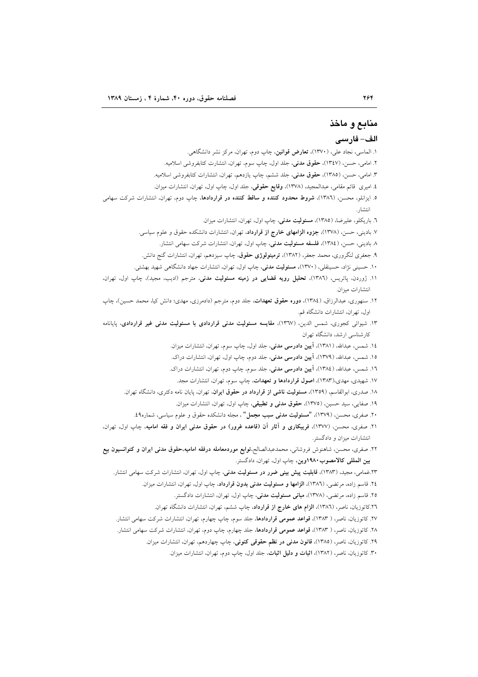## منابع و ماخذ

### الف- فارسي

- ۱. الماسی، نجاد علی، (۱۳۷۰)، **تعارض قوانین**، چاپ دوم، تهران، مرکز نشر دانشگاهی.
- ٢. امامي، حسن، (١٣٤٧)، حقوق مدني، جلد اول، چاپ سوم، تهران، انتشارت كتابفروشي اسلاميه.
- ۳. امامی، حسن، (۱۳۸۵)، **حقوق مدنی**، جلد ششم، چاپ یازدهم، تهران، انتشارات کتابفروشی اسلامیه.
- ٤. اميري قائم مقامي، عبدالمجيد، (١٣٧٨)، وقايع حقوقي، جلد اول، چاپ اول، تهران، انتشارات ميزان.
- ۵. ایزانلو، محسن، (۱۳۸٦)، <mark>شروط محدود کننده و ساقط کننده در قراردادها</mark>، چاپ دوم، تهران، انتشارات شرکت سهامی **Albeit** 
	- ٦. باريكلو، عليرضا، (١٣٨٥)، مسئوليت مدنى، چاپ اول، تهران، انتشارات ميزان.
	- ۷. بادینی، حسن، (۱۳۷۸)، **جزوه الزامهای خارج از قرارداد**، تهران، انتشارات دانشکده حقوق و علوم سیاسی.
		- ۸ بادینی، حسن، (۱۳۸٤)، **فلسفه مسئولیت مدنی**، چاپ اول، تهران، انتشارات شرکت سهامی انتشار.
	- ۹. جعفری لنگروری، محمد جعفر، (۱۳۸۲)، ترمینولوژی حقوق، چاپ سیزدهم، تهران، انتشارات گنج دانش.
	- ۱۰. حسینی نژاد، حسینقلی، (۱۳۷۰)، مسئولیت مدنی، چاپ اول، تهران، انتشارات جهاد دانشگاهی شهید بهشتی.
- ١١. ژوردن، پاتريس، (١٣٨٦)، تحليل رويه قضايى در زمينه مسئوليت مدنى، مترجم (اديب، مجيد)، چاپ اول، تهران، انتشارات ميزان.
- ۱۲. سنهوری، عبدالرزاق، (۱۳۸٤)، **دوره حقوق تعهدات**، جلد دوم، مترجم (دادمرزی، مهدی؛ دانش کیا، محمد حسین)، چاپ اول، تهران، انتشارات دانشگاه قم.
- ۱۳. شیوائی کجوری، شمس الدین، (۱۳۹۷)، مقایسه مسئولیت مدنی قراردادی با مسئولیت مدنی غیر قراردادی، پایانامه کارشناسی ارشد، دانشگاه تهران
	- ١٤. شمس، عبدالله، (١٣٨١)، **آيين دادرسي مدني**، جلد اول، چاپ سوم، تهران، انتشارات ميزان.
	- ۱۵. شمس، عبدالله، (۱۳۷۹)، آ**یین دادرسی مدنی**، جلد دوم، چاپ اول، تهران، انتشارات دراک.
	- ۱٦. شمس، عبدالله، (١٣٨٤)، **آیین دادرسی مدنی**، جلد سوم، چاپ دوم، تهران، انتشارات دراک.
	- ۱۷. شهیدی، مهدی،(۱۳۸۳)، اصول قراردادها و تعهدات، چاپ سوم، تهران، انتشارات مجد.
	- ۱۸. صدری، ابوالقاسم، (۱۳۵۹)، مسئولیت ناشم از قرارداد در حقوق ایران، تهران، پایان نامه دکتری، دانشگاه تهران.
		- ١٩. صفايي، سيد حسين، (١٣٧٥)، حقوق مدنى وتطبيقى، چاپ اول، تهران، انتشارات ميزان.
		- ۲۰. صفری، محسن، (۱۳۷۹)، **"مسئولیت مدنی سبب مجمل"** ، مجله دانشکده حقوق و علوم سیاسی، شماره۹؛.
- .<br>۲۱. صفری، محسن، (۱۳۷۷)، فریبکاری و آثار آن (قاعده غرور) در حقوق مدنی ایران و فقه امامیه، چاپ اول، تهران، انتشارات میزان و دادگستر.
- ۲۲. صفری، محسن، شاهنوش فروشانی، محمدعبدالصالح،توابع موردمعامله درفقه امامیه،حقوق مدنی ایران و کنوانسیون بیع بین المللی کالامصوب ۱۹۸۰وین، چاپ اول، تهران، دادگستر.
	- ۲۳.غمامی، مجید، (۱۳۸۳)، **قابلیت پیش بینی ضرر در مسئولیت مدنی**، چاپ اول، تهران، انتشارات شرکت سهامی انتشار.
		- ٢٤. قاسم زاده، مرتضى، (١٣٨٦)، الزامها و مسئوليت مدنى بدون قرارداد، چاپ اول، تهران، انتشارات ميزان.
			- ۲۵. قاسم زاده، مرتضی، (۱۳۷۸)، **مبانی مسئولیت مدنی**، چاپ اول، تهران، انتشارات دادگستر.
		- ٢٦.كاتوزيان، ناصر، (١٣٨٦)، **الزام هاى خارج از قرارداد**، چاپ ششم، تهران، انتشارات دانشگاه تهران.
	- ۲۷. کاتوزیان، ناصر، ( ۱۳۸۳)، قواعد عمومی قراردادها، جلد سوم، چاپ چهارم، تهران، انتشارات شرکت سهامی انتشار.
	- ۲۸. کاتوزیان، ناصر، ( ۱۳۸۳)، قواعد عمومی قراردادها، جلد چهارم، چاپ دوم، تهران، انتشارات شرکت سهامی انتشار.
		- ۲۹. کاتوزیان، ناصر، (۱۳۸۵)، **قانون مدنی در نظم حقوقی کنونی**، چاپ چهاردهم، تهران، انتشارات میزان.
			- ۳۰. کاتوزیان، ناصر، (۱۳۸۲)، **اثبات و دلیل اثبات**، جلد اول، چاپ دوم، تهران، انتشارات میزان.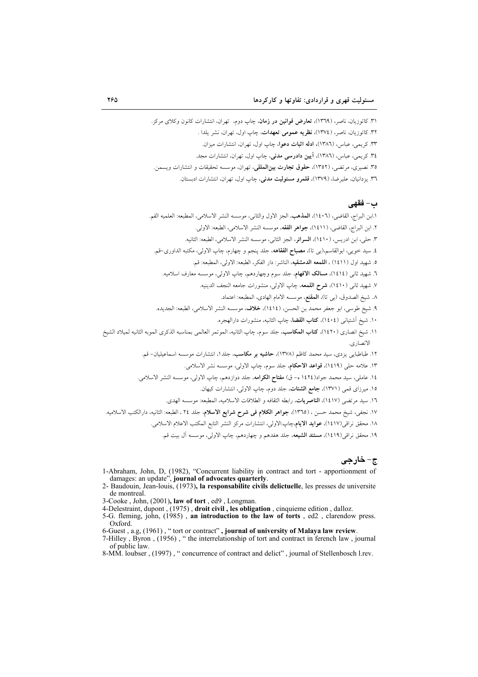۳۱. کاتوزیان، ناصر، (۱۳٦۹)، **تعارض قوانین در زمان**، چاپ دوم. تهران، انتشارات کانون وکلای مرکز. ۳۲. کاتوزیان، ناصر، (١٣٧٤)، **نظریه عمومی تعهدات**، چاپ اول، تهران، نشر یلدا . ۳۳. کریمی، عباس، (۱۳۸٦)، **ادله اثبات دعو**ا، چاپ اول، تهران، انتشارات میزان. ۳٤. کریمے، عباس، (١٣٨٦)، آ**پین دادرسی مدنی**، چاپ اول، تھران، انتشارات مجد.

۳۵. نصیری، مرتضی، (۱۳۵۲)، حقوق تجارت بین المللی، تهران، موسسه تحقیقات و انتشارات ویسمن.

٣٦. يزدانيان، عليرضا، (١٣٧٩)، قلمرو مسئوليت مدنى، چاپ اول، تهران، انتشارات ادبستان.

### ب- فقهي

.<br>١.ابن البراج، القاضي، (١٤٠٦)، **المذه**ب، الجز الاول والثاني، موسسه النشر الاسلامي، المطبعه: العلميه القم. ٢. ابن البراج، القاضي، (١٤١١)، جواهر الفقه، موسسه النشر الاسلامي، الطبعه: الأولى. ٣. حلي، ابن ادريس، (١٤١٠)، السرائر، الجز الثاني، موسسه النشر الاسلامي، الطبعه: الثانيه. ٤. سيد خويبي، ابوالقاسم،(بي تا)، مصباح الفقاهه، جلد ينجم و چهارم، چاپ الاولي، مكتبه الداوري-قم. ٥. شهيد اول (١٤١١) ، **اللمعه الدمشقيه**، الناشر: دار الفكر، الطبعه: الأولى، المطبعه: قم. ٦. شهيد ثاني (١٤١٤)، مسالك الافهام، جلد سوم وچهاردهم، چاپ الاولي، موسسه معارف اسلاميه. ٧. شهيد ثاني (١٤١٠)، <mark>شرح اللمعه</mark>، چاپ الاولي، منشورات جامعه النجف الدينيه. ٨. شيخ الصدوق، (بي تا)، ا**لمقنع**، موسسه الامام الهادي، المطبعه: اعتماد. ٩. شيخ طوسي، ابو جعفر محمد بن الحسن، (١٤١٤)، خلاف، موسسه النشر الاسلامي، الطبعه: الجديده. ١٠. شيخ أشتياني (١٤٠٤)، كتاب القضا، چاپ الثانيه، منشورات دارالهجره. ١١. شيخ انصارى (١٤٢٠)، **كتاب المكاسب**، جلد سوم، چاپ الثانيه، الموتمر العالمي بمناسبه الذكرى الموبه الثانيه لميلاد الشيخ الانصاري. ۱۲. طباطبای<sub>ی</sub> یزدی، سید محمد کاظم (۱۳۷۸)، **حاشیه بر مکاسب**، جلد۱، انتشارات موسسه اسماعیلیان- قم. ١٣. علامه حلي (١٤١٩)، قواعد الاحكام، جلد سوم، چاپ الاولي، موسسه نشر الاسلامي. ١٤. عاملي، سيد محمد جواد(١٤٢٤ ه- ق) م**فتاح الكرامه**، جلد دوازدهم، چاپ الاولي، موسسه النشر الاسلامي. ۱۵. میرزای قمی (۱۳۷۱)، جامع الشتات، جلد دوم، چاپ الاولی، انتشارات کیهان. ۱.<br>۱۲. سيد مرتضى (۱٤۱۷)، **الناصريات**، رابطه الثقافه و الطلاقات الاسلاميه، المطبعه: موسسه الهدى. ١٧. نجفي، شيخ محمد حسن ، (١٣٦٥)، جواهر الكلام في شرح شرايع الاسلام، جلد ٢٤ ، الطبعه: الثانيه، دارالكتب الاسلاميه. ١٨. محقق نراقي(١٤١٧)، عوايد الايام،چاپ:الاولي، انتشارات مركز النشر التابع المكتب الاعلام الاسلامي.

۱۹. محقق نراقي(۱٤۱۹)، **مستند الشيعه**، جلد هفدهم و چهاردهم، چاپ الاولي، موسسه آل بيت قم.

- ج- خارجي
- 1-Abraham, John, D, (1982), "Concurrent liability in contract and tort apportionment of damages: an update", journal of advocates quarterly.
- 2- Baudouin, Jean-louis, (1973), la responsabilite civils delictuelle, les presses de universite de montreal.
- 3-Cooke, John, (2001), law of tort, ed9, Longman.
- 4-Delestraint, dupont, (1975), droit civil, les obligation, cinquieme edition, dalloz.
- 5-G. fleming, john, (1985), an introduction to the law of torts, ed2, clarendow press. Oxford.
- 6-Guest, a.g, (1961), "tort or contract", journal of university of Malaya law review.
- 7-Hilley, Byron, (1956), "the interrelationship of tort and contract in ferench law, journal of public law.
- 8-MM, loubser, (1997), "concurrence of contract and delict", journal of Stellenbosch l.rev.